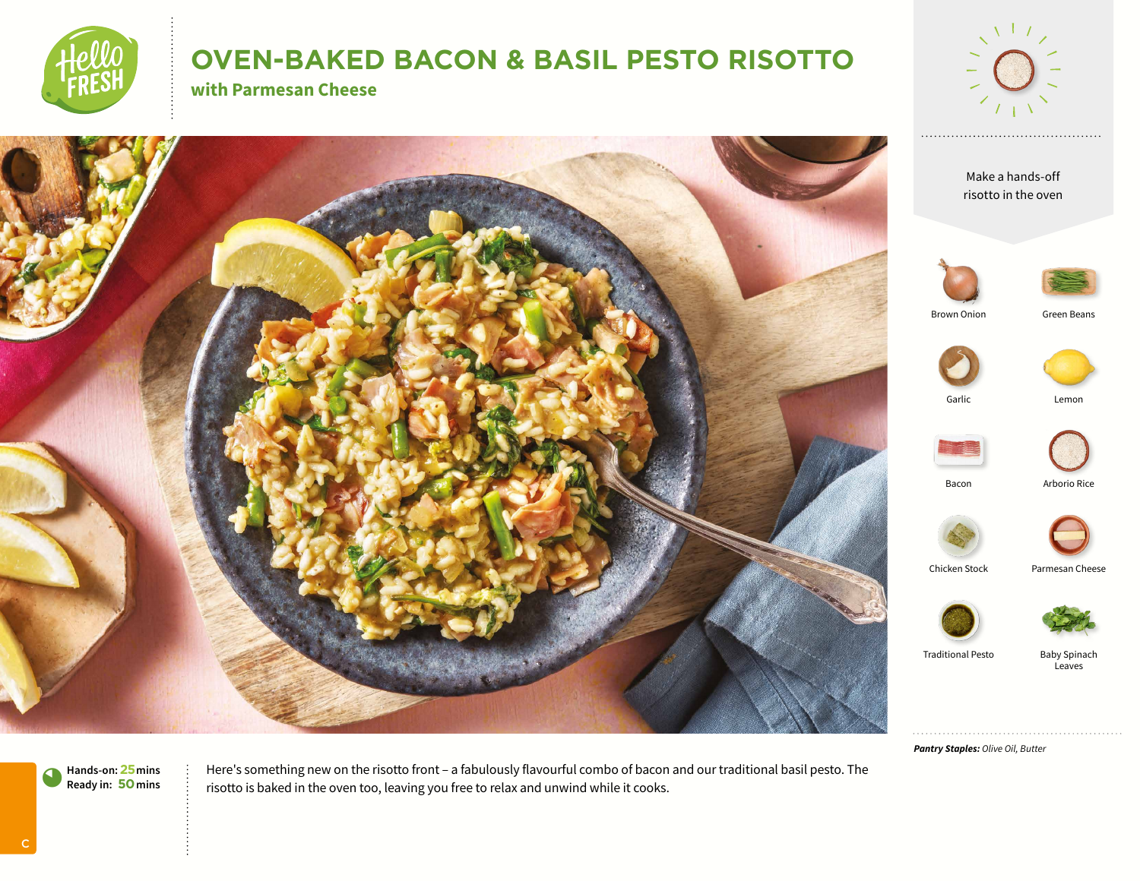

# **OVEN-BAKED BACON & BASIL PESTO RISOTTO**

**with Parmesan Cheese**





Chicken Stock Parmesan Cheese



Traditional Pesto Baby Spinach Leaves

*Pantry Staples: Olive Oil, Butter*

**Hands-on:25mins** 0**Ready in: 50mins**

Here's something new on the risotto front – a fabulously flavourful combo of bacon and our traditional basil pesto. The risotto is baked in the oven too, leaving you free to relax and unwind while it cooks.

C